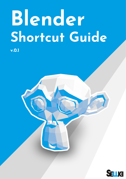# **Blender Shortcut Guide**

**v.0.1**

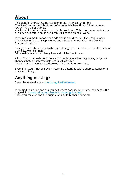# **About**

This Blender Shortcut Guide is a open project licensed under the Creative Commons Attribution-NonCommercial-ShareAlike 4.0 International (CC BY-NC-SA 4.0) License.

Any form of commercial reproduction is prohibited. This is to prevent unfair use of a open project! Of course you can still use this guide at work.

If you make a modification or an addition it would be nice if you can forward these changes to me. Keep in mind you also need to use the same Creative Commons license.

This guide was started due to the lag of free guides out there without the need of giving away tons of data.

Mine, nah **yours** is completely free and will be free forever.

A lot of Shortcut guides out there a not really tailored for beginners, this guide changes that, but intermediate use is still possible. This is why not every single Shortcut in Blender is written here.

Every Shortcuts if not self explanatory are described with a short sentence or a associated image.

## **Anything missing?**

Then please email me at shortcut-guide@sellke.net.

If you find this guide and ask yourself where does it come from, than here is the original link: www.sellke.net/blender-shortcut-guide.html There you can also find the original Affinity Publisher project file.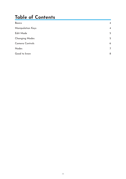# **Table of Contents**

| <b>Basics</b>            | $\overline{4}$ |
|--------------------------|----------------|
| <b>Manipulation Keys</b> | $\overline{4}$ |
| Edit Mode                | 5              |
| <b>Changing Modes</b>    | 5              |
| Camera Controls          | 6              |
| Nodes                    | $\overline{7}$ |
| Good to know             | $\delta$       |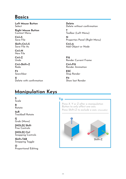## <span id="page-3-0"></span>**Basics**

**Left Mouse Button** Select

**Right Mouse Button** Context Menu

**Ctrl+S** Save File

**Shift+Ctrl+S** Save File As

**Ctrl+N** New File

**Ctrl+Z** Undo

**Ctrl+Shift+Z** Redo

**F3** Searchbar

**X** Delete with confirmation **Delete** Delete without confirmation **T**

Toolbar (Left Menu) **N**

Properties Panel (Right Menu) **Ctrl+A**

Add Object or Node

**F12** Render Current Frame

**Ctrl+F12** Render Animation

**ESC** Stop Render

**F11** Show last Render

# **Manipulation Keys**

## **S**

**Scale** 

**R Rotate** 

**2xR** Trackball Rotate

**G** Grab (Move)

**[HOLD] Shift** Fine Controls

**[HOLD] Ctrl** Snapping Controls

**Shift+TAB** Snapping Toggle

**O** Proportional Editing

#### **Tip**

*Press X, Y or Z after a manipulation Button to only affect one axis. Press Shift+Z to exclude a axis. (chainable)*

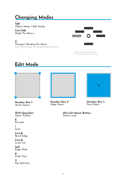# <span id="page-4-0"></span>**Changing Modes**

#### **TAB**

Object Mode / Edit Mode

#### **Ctrl+TAB**

Mode Pie Menu 1

#### **Z**

Viewport Shading Pie Menu (e.g. Wireframe or Rendering Preview)



1 Example of a Pie Menu Can be controlled by the mouse

## **Edit Mode**



**Number Row 1** Vertex Select

**Shift+Spacebar** Open Toolbox

**E** Extrude

#### **I** Inset

**Ctrl+B** Bevel Edge

#### **Ctrl+R** Loop Cut

**2xG** Edge Slide

**K** Knife Tool

**V** Rip Selection



**Number Row 2** Edge Select

**Number Row 3** Face Select

**Alt+Left Mouse Button** Select Loop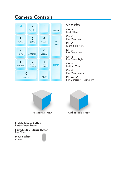# <span id="page-5-0"></span>**Camera Controls**



#### **Alt Modes**

**Ctrl+1** Back View

**Ctrl+2** Pan View Up

**Ctrl+3** Right Side View

**Ctrl+4** Pan View Left

**Ctrl+6** Pan View Right

**Ctrl+7** Bottom View

**Ctrl+8** Pan View Down

**Ctrl+Alt+0** Set Camera to Viewport





Perspective View Orthographic View

**Middle Mouse Button** Rotate View Freely

**Shift+Middle Mouse Button** Pan View

**Mouse Wheel** Zoom

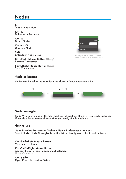# <span id="page-6-0"></span>**Nodes**

**M** Toggle Node Mute

**Ctrl+X** Delete with Reconnect

**Ctrl+G** Group Nodes

**Ctrl+Alt+G** Ungroub Nodes

**TAB** Enter/Exit Node Group

**Ctrl+Right Mouse Button (Drag)** Remove Connection

**Shift+Right Mouse Button (Drag)** Split Connection



1 Example of a Shader Node Can be connected with different inputs

### **Node collapsing**

Nodes can be collapsed to reduce the clutter of your node-tree a bit



#### **Node Wrangler**

Node Wrangler is one of Blender most usefull Add-ons there is. Its already included. If you do a lot of material work, than you really should enable it

#### **How to use**

Go to Blenders Preferences: Topbar > Edit > Preferences > Add-ons Select **Node: Node Wrangler** from the list or directly search for it and activate it.

**Ctrl+Shift+Left Mouse Button** View selected Node

**Ctrl+Shift+Right Mouse Button** Connect Node without precise input selection (Lazy Connect)

**Ctrl+Shift+T** Open Principled Texture Setup